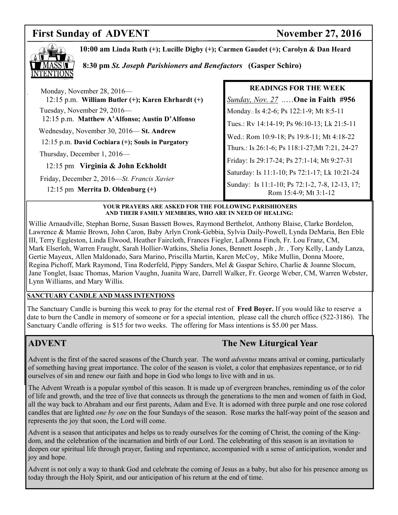# **First Sunday of ADVENT** November 27, 2016



**10:00 am Linda Ruth (+); Lucille Digby (+); Carmen Gaudet (+); Carolyn & Dan Heard** 

 **8:30 pm** *St. Joseph Parishioners and Benefactors* **(Gasper Schiro)**

| Monday, November 28, 2016—<br>$12:15$ p.m. William Butler $(+)$ ; Karen Ehrhardt $(+)$ |
|----------------------------------------------------------------------------------------|
| Tuesday, November 29, 2016—<br>12:15 p.m. Matthew A'Alfonso; Austin D'Alfonso          |
| Wednesday, November 30, 2016—St. Andrew                                                |
| 12:15 p.m. David Cochiara (+); Souls in Purgatory                                      |
| Thursday, December 1, 2016—                                                            |
| 12:15 pm Virginia $\&$ John Eckholdt                                                   |
| Friday, December 2, 2016-St. Francis Xavier                                            |
| 12:15 pm Merrita D. Oldenburg $(+)$                                                    |

# **READINGS FOR THE WEEK**  *Sunday, Nov. 27 ..*…**One in Faith #956** Monday.: Is 4:2-6; Ps 122:1-9; Mt 8:5-11 Tues.: Rv 14:14-19; Ps 96:10-13; Lk 21:5-11 Wed.: Rom 10:9-18; Ps 19:8-11; Mt 4:18-22 Thurs.: Is 26:1-6; Ps 118:1-27;Mt 7:21, 24-27 Friday: Is 29:17-24; Ps 27:1-14; Mt 9:27-31 Saturday: Is 11:1-10; Ps 72:1-17; Lk 10:21-24 Sunday: Is 11:1-10; Ps 72:1-2, 7-8, 12-13, 17; Rom 15:4-9; Mt 3:1-12

#### **YOUR PRAYERS ARE ASKED FOR THE FOLLOWING PARISHIONERS AND THEIR FAMILY MEMBERS, WHO ARE IN NEED OF HEALING:**

Willie Arnaudville, Stephan Borne, Susan Bassett Bowes, Raymond Berthelot, Anthony Blaise, Clarke Bordelon, Lawrence & Mamie Brown, John Caron, Baby Arlyn Cronk-Gebbia, Sylvia Daily-Powell, Lynda DeMaria, Ben Eble III, Terry Eggleston, Linda Elwood, Heather Faircloth, Frances Fiegler, LaDonna Finch, Fr. Lou Franz, CM, Mark Elserloh, Warren Fraught, Sarah Hollier-Watkins, Shelia Jones, Bennett Joseph , Jr. , Tory Kelly, Landy Lanza, Gertie Mayeux, Allen Maldonado, Sara Marino, Priscilla Martin, Karen McCoy, Mike Mullin, Donna Moore, Regina Pichoff, Mark Raymond, Tina Roderfeld, Pippy Sanders, Mel & Gaspar Schiro, Charlie & Joanne Slocum, Jane Tonglet, Isaac Thomas, Marion Vaughn, Juanita Ware, Darrell Walker, Fr. George Weber, CM, Warren Webster, Lynn Williams, and Mary Willis.

#### **SANCTUARY CANDLE AND MASS INTENTIONS**

The Sanctuary Candle is burning this week to pray for the eternal rest of **Fred Boyer.** If you would like to reserve a date to burn the Candle in memory of someone or for a special intention, please call the church office (522-3186). The Sanctuary Candle offering is \$15 for two weeks. The offering for Mass intentions is \$5.00 per Mass.

## **ADVENT** The New Liturgical Year

Advent is the first of the sacred seasons of the Church year. The word *adventus* means arrival or coming, particularly of something having great importance. The color of the season is violet, a color that emphasizes repentance, or to rid ourselves of sin and renew our faith and hope in God who longs to live with and in us.

The Advent Wreath is a popular symbol of this season. It is made up of evergreen branches, reminding us of the color of life and growth, and the tree of live that connects us through the generations to the men and women of faith in God, all the way back to Abraham and our first parents, Adam and Eve. It is adorned with three purple and one rose colored candles that are lighted *one by one* on the four Sundays of the season. Rose marks the half-way point of the season and represents the joy that soon, the Lord will come.

Advent is a season that anticipates and helps us to ready ourselves for the coming of Christ, the coming of the Kingdom, and the celebration of the incarnation and birth of our Lord. The celebrating of this season is an invitation to deepen our spiritual life through prayer, fasting and repentance, accompanied with a sense of anticipation, wonder and joy and hope.

Advent is not only a way to thank God and celebrate the coming of Jesus as a baby, but also for his presence among us today through the Holy Spirit, and our anticipation of his return at the end of time.